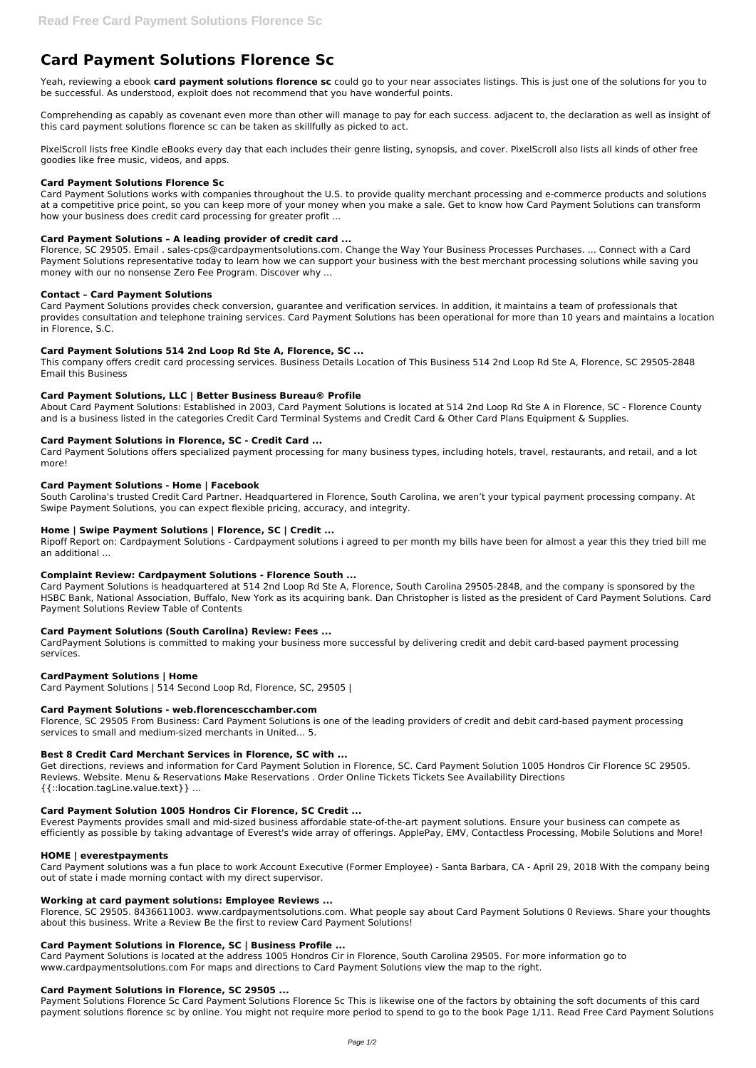# **Card Payment Solutions Florence Sc**

Yeah, reviewing a ebook **card payment solutions florence sc** could go to your near associates listings. This is just one of the solutions for you to be successful. As understood, exploit does not recommend that you have wonderful points.

Comprehending as capably as covenant even more than other will manage to pay for each success. adjacent to, the declaration as well as insight of this card payment solutions florence sc can be taken as skillfully as picked to act.

PixelScroll lists free Kindle eBooks every day that each includes their genre listing, synopsis, and cover. PixelScroll also lists all kinds of other free goodies like free music, videos, and apps.

### **Card Payment Solutions Florence Sc**

Card Payment Solutions works with companies throughout the U.S. to provide quality merchant processing and e-commerce products and solutions at a competitive price point, so you can keep more of your money when you make a sale. Get to know how Card Payment Solutions can transform how your business does credit card processing for greater profit ...

# **Card Payment Solutions – A leading provider of credit card ...**

Florence, SC 29505. Email . sales-cps@cardpaymentsolutions.com. Change the Way Your Business Processes Purchases. ... Connect with a Card Payment Solutions representative today to learn how we can support your business with the best merchant processing solutions while saving you money with our no nonsense Zero Fee Program. Discover why ...

# **Contact – Card Payment Solutions**

Card Payment Solutions provides check conversion, guarantee and verification services. In addition, it maintains a team of professionals that provides consultation and telephone training services. Card Payment Solutions has been operational for more than 10 years and maintains a location in Florence, S.C.

# **Card Payment Solutions 514 2nd Loop Rd Ste A, Florence, SC ...**

This company offers credit card processing services. Business Details Location of This Business 514 2nd Loop Rd Ste A, Florence, SC 29505-2848 Email this Business

# **Card Payment Solutions, LLC | Better Business Bureau® Profile**

About Card Payment Solutions: Established in 2003, Card Payment Solutions is located at 514 2nd Loop Rd Ste A in Florence, SC - Florence County and is a business listed in the categories Credit Card Terminal Systems and Credit Card & Other Card Plans Equipment & Supplies.

#### **Card Payment Solutions in Florence, SC - Credit Card ...**

Card Payment Solutions offers specialized payment processing for many business types, including hotels, travel, restaurants, and retail, and a lot more!

#### **Card Payment Solutions - Home | Facebook**

South Carolina's trusted Credit Card Partner. Headquartered in Florence, South Carolina, we aren't your typical payment processing company. At Swipe Payment Solutions, you can expect flexible pricing, accuracy, and integrity.

#### **Home | Swipe Payment Solutions | Florence, SC | Credit ...**

Ripoff Report on: Cardpayment Solutions - Cardpayment solutions i agreed to per month my bills have been for almost a year this they tried bill me an additional ...

#### **Complaint Review: Cardpayment Solutions - Florence South ...**

Card Payment Solutions is headquartered at 514 2nd Loop Rd Ste A, Florence, South Carolina 29505-2848, and the company is sponsored by the HSBC Bank, National Association, Buffalo, New York as its acquiring bank. Dan Christopher is listed as the president of Card Payment Solutions. Card Payment Solutions Review Table of Contents

#### **Card Payment Solutions (South Carolina) Review: Fees ...**

CardPayment Solutions is committed to making your business more successful by delivering credit and debit card-based payment processing services.

#### **CardPayment Solutions | Home**

Card Payment Solutions | 514 Second Loop Rd, Florence, SC, 29505 |

#### **Card Payment Solutions - web.florencescchamber.com**

Florence, SC 29505 From Business: Card Payment Solutions is one of the leading providers of credit and debit card-based payment processing services to small and medium-sized merchants in United… 5.

#### **Best 8 Credit Card Merchant Services in Florence, SC with ...**

Get directions, reviews and information for Card Payment Solution in Florence, SC. Card Payment Solution 1005 Hondros Cir Florence SC 29505. Reviews. Website. Menu & Reservations Make Reservations . Order Online Tickets Tickets See Availability Directions {{::location.tagLine.value.text}} ...

#### **Card Payment Solution 1005 Hondros Cir Florence, SC Credit ...**

Everest Payments provides small and mid-sized business affordable state-of-the-art payment solutions. Ensure your business can compete as efficiently as possible by taking advantage of Everest's wide array of offerings. ApplePay, EMV, Contactless Processing, Mobile Solutions and More!

#### **HOME | everestpayments**

Card Payment solutions was a fun place to work Account Executive (Former Employee) - Santa Barbara, CA - April 29, 2018 With the company being out of state i made morning contact with my direct supervisor.

#### **Working at card payment solutions: Employee Reviews ...**

Florence, SC 29505. 8436611003. www.cardpaymentsolutions.com. What people say about Card Payment Solutions 0 Reviews. Share your thoughts about this business. Write a Review Be the first to review Card Payment Solutions!

#### **Card Payment Solutions in Florence, SC | Business Profile ...**

Card Payment Solutions is located at the address 1005 Hondros Cir in Florence, South Carolina 29505. For more information go to www.cardpaymentsolutions.com For maps and directions to Card Payment Solutions view the map to the right.

#### **Card Payment Solutions in Florence, SC 29505 ...**

Payment Solutions Florence Sc Card Payment Solutions Florence Sc This is likewise one of the factors by obtaining the soft documents of this card payment solutions florence sc by online. You might not require more period to spend to go to the book Page 1/11. Read Free Card Payment Solutions